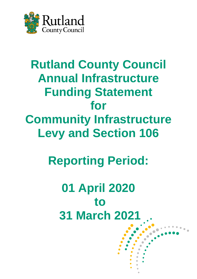

## **Rutland County Council Annual Infrastructure Funding Statement for Community Infrastructure Levy and Section 106**

# **Reporting Period:**

## **01 April 2020 to 31 March 2021**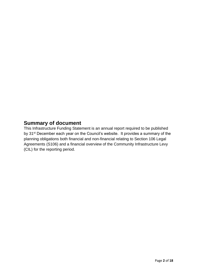## **Summary of document**

This Infrastructure Funding Statement is an annual report required to be published by 31<sup>st</sup> December each year on the Council's website. It provides a summary of the planning obligations both financial and non-financial relating to Section 106 Legal Agreements (S106) and a financial overview of the Community Infrastructure Levy (CIL) for the reporting period.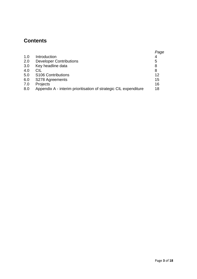## **Contents**

|     |                                                                  | Page |
|-----|------------------------------------------------------------------|------|
| 1.0 | Introduction                                                     | 4    |
| 2.0 | <b>Developer Contributions</b>                                   | 5    |
| 3.0 | Key headline data                                                | 8    |
| 4.0 | <b>CIL</b>                                                       | 8    |
| 5.0 | <b>S106 Contributions</b>                                        | 12   |
| 6.0 | S278 Agreements                                                  | 15   |
| 7.0 | Projects                                                         | 16   |
| 8.0 | Appendix A - interim prioritisation of strategic CIL expenditure | 18   |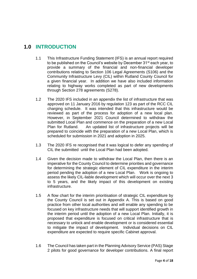## **1.0 INTRODUCTION**

- 1.1 This Infrastructure Funding Statement (IFS) is an annual report required to be published on the Council's website by December 31<sup>st</sup> each year, to provide a summary of the financial and non-financial developer contributions relating to Section 106 Legal Agreements (S106) and the Community Infrastructure Levy (CIL) within Rutland County Council for a given financial year. In addition we have also included information relating to highway works completed as part of new developments through Section 278 agreements (S278).
- 1.2 The 2020 IFS included in an appendix the list of infrastructure that was approved on 11 January 2016 by regulation 123 as part of the RCC CIL charging schedule. It was intended that this infrastructure would be reviewed as part of the process for adoption of a new local plan. However, in September 2021 Council determined to withdraw the submitted Local Plan and commence on the preparation of a new Local Plan for Rutland. An updated list of infrastructure projects will be prepared to coincide with the preparation of a new Local Plan, which is scheduled for submission in 2021 and adoption in 2025.
- 1.3 The 2020 IFS re recognised that it was logical to defer any spending of CIL the submitted until the Local Plan had been adopted.
- 1.4 Given the decision made to withdraw the Local Plan, then there is an imperative for the County Council to determine priorities and governance for determining the strategic element of CIL expenditure in the interim period pending the adoption of a new Local Plan. Work is ongoing to assess the likely CIL-liable development which will occur over the next 3 to 5 years, and the likely impact of this development on existing infrastructure.
- 1.5 A flow chart for the interim prioritisation of strategic CIL expenditure by the County Council is set out in Appendix A. This is based on good practice from other local authorities and will enable any spending to be focused on key infrastructure needs that will support identified growth in the interim period until the adoption of a new Local Plan. Initially, it is proposed that expenditure is focused on critical infrastructure that is necessary to unlock and enable development or is considered essential to mitigate the impact of development. Individual decisions on CIL expenditure are expected to require specific Cabinet approval.
- 1.6 The Council has taken part in the Planning Advisory Service (PAS) Stage 2 pilots for good governance for developer contributions. A final report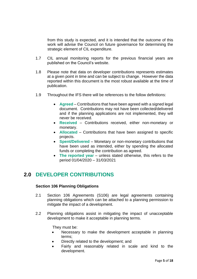from this study is expected, and it is intended that the outcome of this work will advise the Council on future governance for determining the strategic element of CIL expenditure.

- 1.7 CIL annual monitoring reports for the previous financial years are published on the Council's [website.](https://www.rutland.gov.uk/my-services/planning-and-building-control/planning/planning-policy/community-infrastructure-levy-cil/annual-monitoring-reports/)
- 1.8 Please note that data on developer contributions represents estimates at a given point in time and can be subject to change. However the data reported within this document is the most robust available at the time of publication.
- 1.9 Throughout the IFS there will be references to the follow definitions:
	- **Agreed**  Contributions that have been agreed with a signed legal document. Contributions may not have been collected/delivered and if the planning applications are not implemented, they will never be received.
	- **Received**  Contributions received, either non-monetary or monetary.
	- **Allocated**  Contributions that have been assigned to specific projects.
	- **Spent/Delivered** Monetary or non-monetary contributions that have been used as intended, either by spending the allocated funds or completing the contribution as agreed.
	- **The reported year** unless stated otherwise, this refers to the period 01/04/2020 – 31/03/2021

### **2.0 DEVELOPER CONTRIBUTIONS**

#### **Section 106 Planning Obligations**

- 2.1 Section 106 Agreements (S106) are legal agreements containing planning obligations which can be attached to a planning permission to mitigate the impact of a development.
- 2.2 Planning obligations assist in mitigating the impact of unacceptable development to make it acceptable in planning terms.

They must be:

- Necessary to make the development acceptable in planning terms;
- Directly related to the development; and
- Fairly and reasonably related in scale and kind to the development.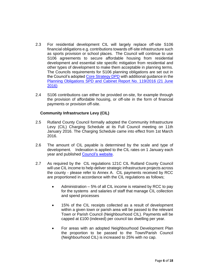- 2.3 For residential development CIL will largely replace off-site S106 financial obligations e.g. contributions towards off-site infrastructure such as sports provision or school places. The Council will continue to use S106 agreements to secure affordable housing from residential development and essential site specific mitigation from residential and other types of development to make them acceptable in planning terms. The Councils requirements for S106 planning obligations are set out in the Council's adopted [Core Strategy DPD](https://www.rutland.gov.uk/my-services/planning-and-building-control/planning/planning-policy/local-plan/) with additional guidance in the [Planning Obligations SPD and Cabinet Report No. 119/2016 \(21 June](https://www.rutland.gov.uk/my-services/planning-and-building-control/planning/planning-policy/supplementary-planning-documents-spd/)  [2016\)](https://www.rutland.gov.uk/my-services/planning-and-building-control/planning/planning-policy/supplementary-planning-documents-spd/)
- 2.4 S106 contributions can either be provided on-site, for example through the provision of affordable housing, or off-site in the form of financial payments or provision off-site.

#### **Community Infrastructure Levy (CIL)**

- 2.5 Rutland County Council formally adopted the Community Infrastructure Levy (CIL) Charging Schedule at its Full Council meeting on 11th January 2016. The Charging Schedule came into effect from 1st March 2016.
- 2.6 The amount of CIL payable is determined by the scale and type of development. Indexation is applied to the CIL rates on 1 January each year and published [Council's website.](https://www.rutland.gov.uk/my-services/planning-and-building-control/planning/planning-policy/community-infrastructure-levy-cil/https:/www.rutland.gov.uk/my-services/planning-and-building-control/planning/planning-policy/community-infrastructure-levy-cil/)
- 2.7 As required by the CIL regulations 121C CIL Rutland County Council will use CIL income to help deliver strategic infrastructure projects across the county - please refer to Annex A. CIL payments received by RCC are proportioned in accordance with the CIL regulations as follows;
	- Administration 5% of all CIL income is retained by RCC to pay for the systems and salaries of staff that manage CIL collection and spend processes
	- 15% of the CIL receipts collected as a result of development within a given town or parish area will be passed to the relevant Town or Parish Council (Neighbourhood CIL). Payments will be capped at £100 (indexed) per council tax dwelling per year.
	- For areas with an adopted Neighbourhood Development Plan the proportion to be passed to the Town/Parish Council (Neighbourhood CIL) is increased to 25% with no cap.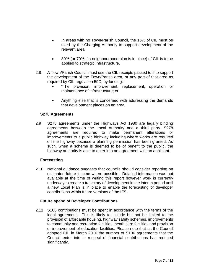- In areas with no Town/Parish Council, the 15% of CIL must be used by the Charging Authority to support development of the relevant area.
- 80% (or 70% if a neighbourhood plan is in place) of CIL is to be applied to strategic infrastructure.
- 2.8 A Town/Parish Council must use the CIL receipts passed to it to support the development of the Town/Parish area, or any part of that area as required by CIL regulation 59C, by funding:-
	- "The provision, improvement, replacement, operation or maintenance of infrastructure; or
	- Anything else that is concerned with addressing the demands that development places on an area.

#### **S278 Agreements**

2.9 S278 agreements under the Highways Act 1980 are legally binding agreements between the Local Authority and a third party. S278 agreements are required to make permanent alterations or improvements to a public highway including where works are required on the highway because a planning permission has been granted. As such, when a scheme is deemed to be of benefit to the public, the highway authority is able to enter into an agreement with an applicant.

#### **Forecasting**

2.10 National guidance suggests that councils should consider reporting on estimated future income where possible. Detailed information was not available at the time of writing this report however work is currently underway to create a trajectory of development in the interim period until a new Local Plan is in place to enable the forecasting of developer contributions within future versions of the IFS.

#### **Future spend of Developer Contributions**

2.11 S106 contributions must be spent in accordance with the terms of the legal agreement. This is likely to include but not be limited to the provision of affordable housing, highway safety schemes, improvements to community and recreation facilities, heath care facilities and provision or improvement of education facilities. Please note that as the Council adopted CIL in March 2016 the number of S106 agreements that the Council enter into in respect of financial contributions has reduced significantly.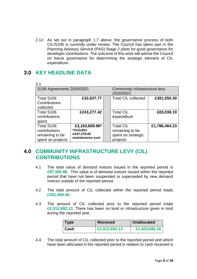2.12 As set out in paragraph 1.7 above, the governance process of both CIL/S106 is currently under review. The Council has taken part in the Planning Advisory Service (PAS) Stage 2 pilots for good governance for developer contributions. The outcome of this work will advise the Council on future governance for determining the strategic element of CIL expenditure.

## **3.0 KEY HEADLINE DATA**

| 3.1                                                                 |                                                               |                                                                       |               |
|---------------------------------------------------------------------|---------------------------------------------------------------|-----------------------------------------------------------------------|---------------|
| S106 Agreements 2020/2021                                           |                                                               | Community Infrastructure levy<br>2020/2021                            |               |
| Total S106<br>Contributions<br>collected                            | £32,637.77                                                    | <b>Total CIL collected</b>                                            | £391,550.30   |
| Total S106<br>contributions<br>spent                                | £243,277.42                                                   | <b>Total CIL</b><br>expenditure                                       | £83,038.19    |
| Total S106<br>contributions<br>remaining to be<br>spent on projects | £3,163,609.96*<br>*includes<br>£437,379.00<br>maintenance sum | <b>Total CIL</b><br>remaining to be<br>spent on strategic<br>projects | £1,786,464.23 |

## **4.0 COMMUNITY INFRASTRUCTURE LEVY (CIL) CONTRIBUTIONS**

- 4.1 The total value of demand notices issued in the reported period is **£97,305.98.** This value is of demand notices issued within the reported period that have not been suspended or superseded by new demand notices outside of the reported period.
- 4.2 The total amount of CIL collected within the reported period totals **£391,550.30.**
- 4.3 The amount of CIL collected prior to the reported period totals **£2,012,692.13.** There has been no land or infrastructure given in kind during the reported year.

| $\blacksquare$ Type<br><b>Received</b> |               | <b>Unallocated</b> |
|----------------------------------------|---------------|--------------------|
| ∣ Cash                                 | £2,012,692.13 | £1,403,586.16      |

4.4 The total amount of CIL collected prior to the reported period and which have been allocated in the reported period in relation to cash received is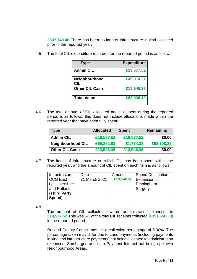**£507,749.46** There has been no land or infrastructure in kind collected prior to the reported year.

4.5 The total CIL expenditure recorded for the reported period is as follows:

| Type                  | <b>Expenditure</b> |
|-----------------------|--------------------|
| <b>Admin CIL</b>      | £19,577.52         |
| Neighbourhood<br>CIL  | £49,914.31         |
| <b>Other CIL Cash</b> | £13,546.36         |
| <b>Total Value</b>    | £83,038.19         |

4.6 The total amount of CIL allocated and not spent during the reported period is as follows, this does not include allocations made within the reported year that have been fully spent:

| <b>Type</b>              | <b>Allocated</b> | <b>Spent</b> | Remaining  |
|--------------------------|------------------|--------------|------------|
| <b>Admin CIL</b>         | £19,577.52       | £19,577.52   | £0.00      |
| <b>Neighbourhood CIL</b> | £69,882.63       | £1,774.38    | £68,108.25 |
| <b>Other CIL Cash</b>    | £13,546.36       | £13,546.36   | £0.00      |

4.7 The items of infrastructure on which CIL has been spent within the reported year, and the amount of CIL spent on each item is as follows:

| Infrastructure     | Date          | Amount     | <b>Spend Description</b> |
|--------------------|---------------|------------|--------------------------|
| <b>CCG East</b>    | 31 March 2021 | £13,546.36 | Expansion of             |
| Leicestershire     |               |            | Empingham                |
| and Rutland        |               |            | Surgery                  |
| <b>Third Party</b> |               |            |                          |
| Spend)             |               |            |                          |

4.8

The amount of CIL collected towards administration expenses is **£19,577.52**.This was 5% of the total CIL receipts collected **(£391,550.30)** in the reported period.

Rutland County Council has set a collection percentage of 5.00%. The percentage taken may differ due to Land payments (including payments in kind and infrastructure payments) not being allocated to administration expenses, Surcharges and Late Payment Interest not being split with Neighbourhood Areas.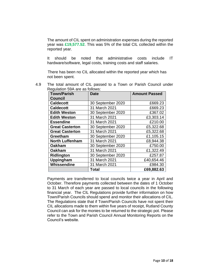The amount of CIL spent on administration expenses during the reported year was **£19,577.52**. This was 5% of the total CIL collected within the reported year.

It should be noted that administrative costs include IT hardware/software, legal costs, training costs and staff salaries.

 There has been no CIL allocated within the reported year which has not been spent.

4.9 The total amount of CIL passed to a Town or Parish Council under Regulation 59A are as follows:

| <b>Town/Parish</b>     | <b>Date</b>       | <b>Amount Passed</b> |
|------------------------|-------------------|----------------------|
| <b>Council</b>         |                   |                      |
| <b>Caldecott</b>       | 30 September 2020 | £669.23              |
| <b>Caldecott</b>       | 31 March 2021     | £669.23              |
| <b>Edith Weston</b>    | 30 September 2020 | £367.02              |
| <b>Edith Weston</b>    | 31 March 2021     | £3,303.14            |
| Essendine              | 31 March 2021     | £210.00              |
| <b>Great Casterton</b> | 30 September 2020 | £5,322.68            |
| <b>Great Casterton</b> | 31 March 2021     | £5,322.68            |
| Greetham               | 30 September 2020 | £1,105.15            |
| <b>North Luffenham</b> | 31 March 2021     | £8,944.38            |
| <b>Oakham</b>          | 30 September 2020 | £750.00              |
| <b>Oakham</b>          | 31 March 2021     | £1,322.49            |
| <b>Ridlington</b>      | 30 September 2020 | £257.87              |
| Uppingham              | 31 March 2021     | £40,654.46           |
| Whissendine            | 31 March 2021     | £984.30              |
|                        | Total             | £69,882.63           |

Payments are transferred to local councils twice a year in April and October. Therefore payments collected between the dates of 1 October to 31 March of each year are passed to local councils in the following financial year. The CIL Regulations provide further information on how Town/Parish Councils should spend and monitor their allocations of CIL. The Regulations state that if Town/Parish Councils have not spent their CIL allocations made to them within five years of receipt, Rutland County Council can ask for the monies to be returned to the strategic pot. Please refer to the Town and Parish Council Annual Monitoring Reports on the [Council's website.](https://www.rutland.gov.uk/my-services/planning-and-building-control/planning/planning-policy/community-infrastructure-levy-cil/annual-monitoring-reports/)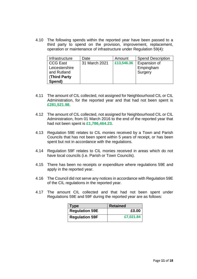4.10 The following spends within the reported year have been passed to a third party to spend on the provision, improvement, replacement, operation or maintenance of infrastructure under Regulation 59(4):

| Infrastructure     | Date          | Amount     | <b>Spend Description</b> |
|--------------------|---------------|------------|--------------------------|
| <b>CCG East</b>    | 31 March 2021 | £13,546.36 | Expansion of             |
| Leicestershire     |               |            | Empingham                |
| and Rutland        |               |            | Surgery                  |
| <b>Third Party</b> |               |            |                          |
| Spend)             |               |            |                          |

- 4.11 The amount of CIL collected, not assigned for Neighbourhood CIL or CIL Administration, for the reported year and that had not been spent is **£281,521.98.**
- 4.12 The amount of CIL collected, not assigned for Neighbourhood CIL or CIL Administration, from 01 March 2016 to the end of the reported year that had not been spent is **£1,786,464.23.**
- 4.13 Regulation 59E relates to CIL monies received by a Town and Parish Councils that has not been spent within 5 years of receipt, or has been spent but not in accordance with the regulations.
- 4.14 Regulation 59F relates to CIL monies received in areas which do not have local councils (i.e. Parish or Town Councils).
- 4.15 There has been no receipts or expenditure where regulations 59E and apply in the reported year.
- 4.16 The Council did not serve any notices in accordance with Regulation 59E of the CIL regulations in the reported year.
- 4.17 The amount CIL collected and that had not been spent under Regulations 59E and 59F during the reported year are as follows:

| $\mathsf{Type}$       | <b>Retained</b> |
|-----------------------|-----------------|
| <b>Regulation 59E</b> | £0.00           |
| <b>Regulation 59F</b> | £7,021.84       |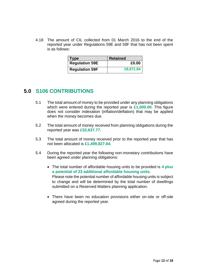4.18 The amount of CIL collected from 01 March 2016 to the end of the reported year under Regulations 59E and 59F that has not been spent is as follows:

| <b>Type</b>           | <b>Retained</b> |
|-----------------------|-----------------|
| <b>Regulation 59E</b> | £0.00           |
| <b>Regulation 59F</b> | £8,671.84       |

### **5.0 S106 CONTRIBUTIONS**

- 5.1 The total amount of money to be provided under any planning obligations which were entered during the reported year is **£1,000.00.** This figure does not consider indexation (inflation/deflation) that may be applied when the money becomes due.
- 5.2 The total amount of money received from planning obligations during the reported year was **£32,637.77.**
- 5.3 The total amount of money received prior to the reported year that has not been allocated is **£1,499,827.84.**
- 5.4 During the reported year the following non-monetary contributions have been agreed under planning obligations:
	- The total number of affordable housing units to be provided is **4 plus a potential of 23 additional affordable housing units**. Please note the potential number of affordable housing units is subject to change and will be determined by the total number of dwellings submitted on a Reserved Matters planning application.
	- There have been no education provisions either on-site or off-site agreed during the reported year.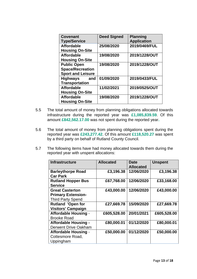| <b>Covenant</b><br><b>Type/Service</b>      | <b>Deed Signed</b> | <b>Planning</b><br><b>Application</b> |
|---------------------------------------------|--------------------|---------------------------------------|
| <b>Affordable</b>                           | 25/08/2020         | 2019/0469/FUL                         |
| <b>Housing On-Site</b><br><b>Affordable</b> | 19/08/2020         | 2019/1228/OUT                         |
| <b>Housing On-Site</b>                      |                    |                                       |
| <b>Public Open</b>                          | 19/08/2020         | 2019/1228/OUT                         |
| <b>Space/Recreation</b>                     |                    |                                       |
| <b>Sport and Leisure</b>                    |                    |                                       |
| Highways<br>and                             | 01/09/2020         | 2019/0433/FUL                         |
| <b>Transportation</b>                       |                    |                                       |
| <b>Affordable</b>                           | 11/02/2021         | 2019/0525/OUT                         |
| <b>Housing On-Site</b>                      |                    |                                       |
| <b>Affordable</b>                           | 19/08/2020         | 2019/1228/OUT                         |
| <b>Housing On-Site</b>                      |                    |                                       |

- 5.5 The total amount of money from planning obligations allocated towards infrastructure during the reported year was **£1,085,839.59**. Of this amount **£842,562.17.00** was not spent during the reported year**.**
- 5.6 The total amount of money from planning obligations spent during the reported year was **£243,277.42**. Of this amount **£118,520.27** was spent by a third party on behalf of Rutland County Council.
- 5.7 The following items have had money allocated towards them during the reported year with unspent allocations:

| <b>Infrastructure</b>       | <b>Allocated</b> | Date<br><b>Allocated</b> | <b>Unspent</b> |
|-----------------------------|------------------|--------------------------|----------------|
| <b>Barleythorpe Road</b>    | £3,196.38        | 12/06/2020               | £3,196.38      |
| <b>Car Park</b>             |                  |                          |                |
| <b>Rutland Hopper Bus</b>   | £67,768.00       | 12/06/2020               | £33,168.00     |
| <b>Service</b>              |                  |                          |                |
| <b>Great Casterton</b>      | £43,000.00       | 12/06/2020               | £43,000.00     |
| <b>Primary Extension-</b>   |                  |                          |                |
| <b>Third Party Spend</b>    |                  |                          |                |
| <b>Rutland 'Open for</b>    | £27,669.78       | 15/09/2020               | £27,669.78     |
| <b>Visitors' Campaign</b>   |                  |                          |                |
| <b>Affordable Housing -</b> | £605,528.00      | 20/01/2021               | £605,528.00    |
| <b>Brooke Road</b>          |                  |                          |                |
| <b>Affordable Housing -</b> | £80,000.01       | 01/12/2020               | £80,000.01     |
| Derwent Drive Oakham        |                  |                          |                |
| <b>Affordable Housing -</b> | £50,000.00       | 01/12/2020               | £50,000.00     |
| Cottesmore Road,            |                  |                          |                |
| Uppingham                   |                  |                          |                |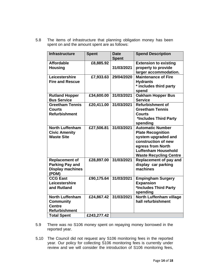5.8 The items of infrastructure that planning obligation money has been spent on and the amount spent are as follows:

| <b>Infrastructure</b>                                                               | <b>Spent</b> | <b>Date</b><br><b>Spent</b> | <b>Spend Description</b>                                                                                                                                                              |
|-------------------------------------------------------------------------------------|--------------|-----------------------------|---------------------------------------------------------------------------------------------------------------------------------------------------------------------------------------|
| <b>Affordable</b><br><b>Housing</b>                                                 | £8,885.92    | 31/03/2021                  | <b>Extension to existing</b><br>property to provide<br>larger accommodation.                                                                                                          |
| Leicestershire<br><b>Fire and Rescue</b>                                            | £7,933.63    | 29/04/2020                  | <b>Maintenance of Fire</b><br><b>Hydrants</b><br>* includes third party<br>spend                                                                                                      |
| <b>Rutland Hopper</b><br><b>Bus Service</b>                                         | £34,600.00   | 31/03/2021                  | <b>Oakham Hopper Bus</b><br><b>Service</b>                                                                                                                                            |
| <b>Greetham Tennis</b><br><b>Courts</b><br><b>Refurbishment</b>                     | £20,411.00   | 31/03/2021                  | <b>Refurbishment of</b><br><b>Greetham Tennis</b><br><b>Courts</b><br>*Includes Third Party<br>spending                                                                               |
| <b>North Luffenham</b><br><b>Civic Amenity</b><br><b>Waste Site</b>                 | £27,506.81   | 31/03/2021                  | <b>Automatic Number</b><br><b>Plate Recognition</b><br>system upgraded and<br>construction of new<br>egress from North<br><b>Luffenham Household</b><br><b>Waste Recycling Centre</b> |
| <b>Replacement of</b><br><b>Parking Pay and</b><br><b>Display machines</b><br>(PDM) | £28,897.00   | 31/03/2021                  | Replacement of pay and<br>display car parking<br>machines                                                                                                                             |
| <b>CCG East</b><br>Leicestershire<br>and Rutland                                    | £90,175.64   | 31/03/2021                  | <b>Empingham Surgery</b><br><b>Expansion</b><br>*Includes Third Party<br>spending                                                                                                     |
| <b>North Luffenham</b><br><b>Community</b><br><b>Centre</b><br><b>Refurbishment</b> | £24,867.42   | 31/03/2021                  | <b>North Luffenham village</b><br>hall refurbishment                                                                                                                                  |
| <b>Total Spent</b>                                                                  | £243,277.42  |                             |                                                                                                                                                                                       |

- 5.9 There was no S106 money spent on repaying money borrowed in the reported year.
- 5.10 The Council did not request any S106 monitoring fees in the reported year. Our policy for collecting S106 monitoring fees is currently under review and we will consider the introduction of S106 monitoring fees,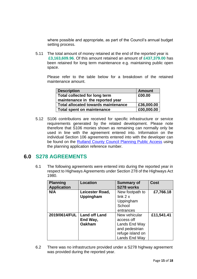where possible and appropriate, as part of the Council's annual budget setting process.

5.11 The total amount of money retained at the end of the reported year is **£3,163,609.96**. Of this amount retained an amount of **£437,379.00** has been retained for long term maintenance e.g. maintaining public open space.

Please refer to the table below for a breakdown of the retained maintenance amount.

| <b>Description</b>                         | <b>Amount</b> |
|--------------------------------------------|---------------|
| Total collected for long term              | £00.00        |
| maintenance in the reported year           |               |
| <b>Total allocated towards maintenance</b> | £36,000.00    |
| <b>Total spent on maintenance</b>          | £00,000.00    |

5.12 S106 contributions are received for specific infrastructure or service requirements generated by the related development. Please note therefore that S106 monies shown as remaining can normally only be used in line with the agreement entered into. Information on the individual Section 106 agreements entered into with the developer can be found on the [Rutland County Council Planning Public Access](https://publicaccess.rutland.gov.uk/online-applications/) using the planning application reference number.

### **6.0 S278 AGREEMENTS**

6.1 The following agreements were entered into during the reported year in respect to Highways Agreements under Section 278 of the Highways Act 1980.

| <b>Planning</b><br><b>Application</b> | <b>Location</b>                                   | <b>Summary of</b><br>S278 works                                                                     | <b>Cost</b> |
|---------------------------------------|---------------------------------------------------|-----------------------------------------------------------------------------------------------------|-------------|
| N/A                                   | Leicester Road,<br><b>Uppingham</b>               | New footpath to<br>link 2 x                                                                         | £7,766.18   |
|                                       |                                                   | Uppingham<br>School<br>entrances                                                                    |             |
| 2019/0614/FUL                         | <b>Land off Land</b><br>End Way,<br><b>Oakham</b> | New vehicular<br>access off<br>Lands End Way<br>and pedestrian<br>refuge island on<br>Lands End Way | £11,541.41  |

6.2 There was no infrastructure provided under a S278 highway agreement was provided during the reported year.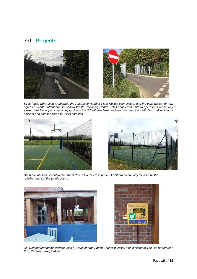## **7.0 Projects**





*S106 funds were used to upgrade the Automatic Number Plate Recognition system and the construction of new egress at North Luffenham Household Waste Recycling Centre. This enabled the site to operate as a one way system which was particularly helpful during the COVID pandemic and has improved the traffic flow making it more efficient and safe for both site users and staff.*





*S106 contributions enabled Greetham Parish Council to improve Greetham community facilities by the refurbishment of the tennis courts.* 





*CIL Neighbourhood funds were used by Barleythorpe Parish Council to install a defibrillator at The Old Buttercross Pub, Panniers Way, Oakham.*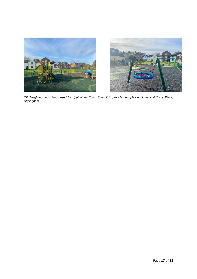

*CIL Neighbourhood funds used by Uppingham Town Council to provide new play equipment at Tod's Piece, Uppingham.*